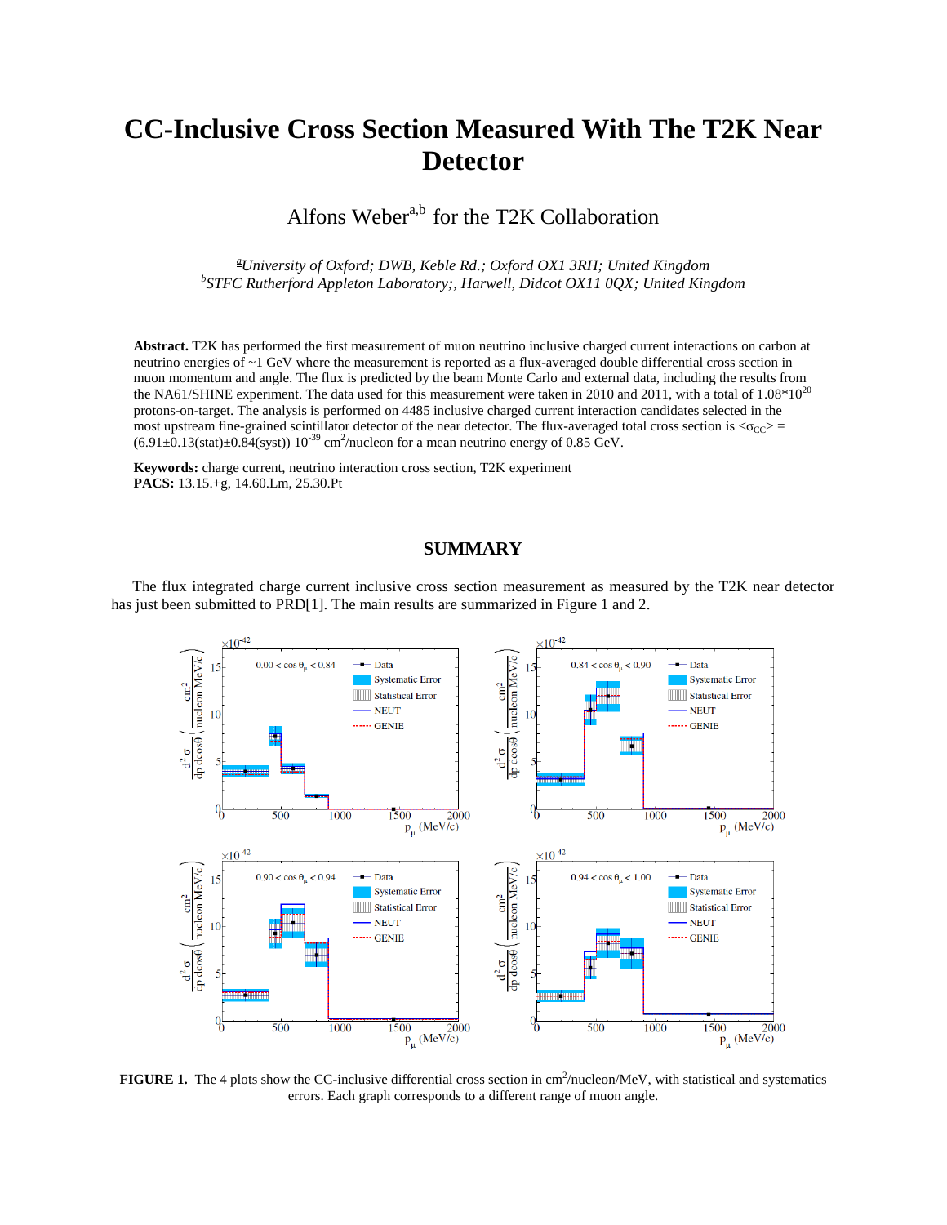## **CC-Inclusive Cross Section Measured With The T2K Near Detector**

Alfons Weber<sup>a,b</sup> for the T2K Collaboration

*<sup>a</sup>University of Oxford; DWB, Keble Rd.; Oxford OX1 3RH; United Kingdom b STFC Rutherford Appleton Laboratory;, Harwell, Didcot OX11 0QX; United Kingdom*

**Abstract.** T2K has performed the first measurement of muon neutrino inclusive charged current interactions on carbon at neutrino energies of ~1 GeV where the measurement is reported as a flux-averaged double differential cross section in muon momentum and angle. The flux is predicted by the beam Monte Carlo and external data, including the results from the NA61/SHINE experiment. The data used for this measurement were taken in 2010 and 2011, with a total of  $1.08*10^{20}$ protons-on-target. The analysis is performed on 4485 inclusive charged current interaction candidates selected in the most upstream fine-grained scintillator detector of the near detector. The flux-averaged total cross section is  $\langle \sigma_{CC} \rangle$  =  $(6.91\pm 0.13(stat)\pm 0.84(syst))$   $10^{-39}$  cm<sup>2</sup>/nucleon for a mean neutrino energy of 0.85 GeV.

**Keywords:** charge current, neutrino interaction cross section, T2K experiment **PACS:** 13.15.+g, 14.60.Lm, 25.30.Pt

## **SUMMARY**

The flux integrated charge current inclusive cross section measurement as measured by the T2K near detector has just been submitted to PRD[1]. The main results are summarized in Figure 1 and 2.



**FIGURE 1.** The 4 plots show the CC-inclusive differential cross section in  $\text{cm}^2\text{/nucleon/MeV}$ , with statistical and systematics errors. Each graph corresponds to a different range of muon angle.